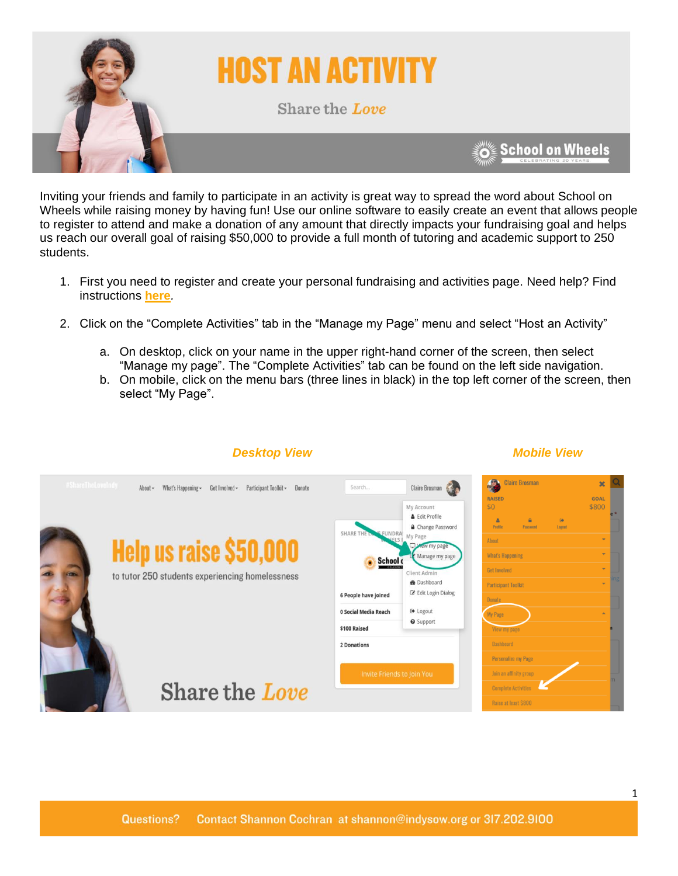

Inviting your friends and family to participate in an activity is great way to spread the word about School on Wheels while raising money by having fun! Use our online software to easily create an event that allows people to register to attend and make a donation of any amount that directly impacts your fundraising goal and helps us reach our overall goal of raising \$50,000 to provide a full month of tutoring and academic support to 250 **students** 

- 1. First you need to register and create your personal fundraising and activities page. Need help? Find instructions **[here](https://indyschoolonwheels.org/participant-toolkit/#setting-up-your-page)***.*
- 2. Click on the "Complete Activities" tab in the "Manage my Page" menu and select "Host an Activity"
	- a. On desktop, click on your name in the upper right-hand corner of the screen, then select "Manage my page". The "Complete Activities" tab can be found on the left side navigation.
	- b. On mobile, click on the menu bars (three lines in black) in the top left corner of the screen, then select "My Page".



## *Desktop View* Mobile View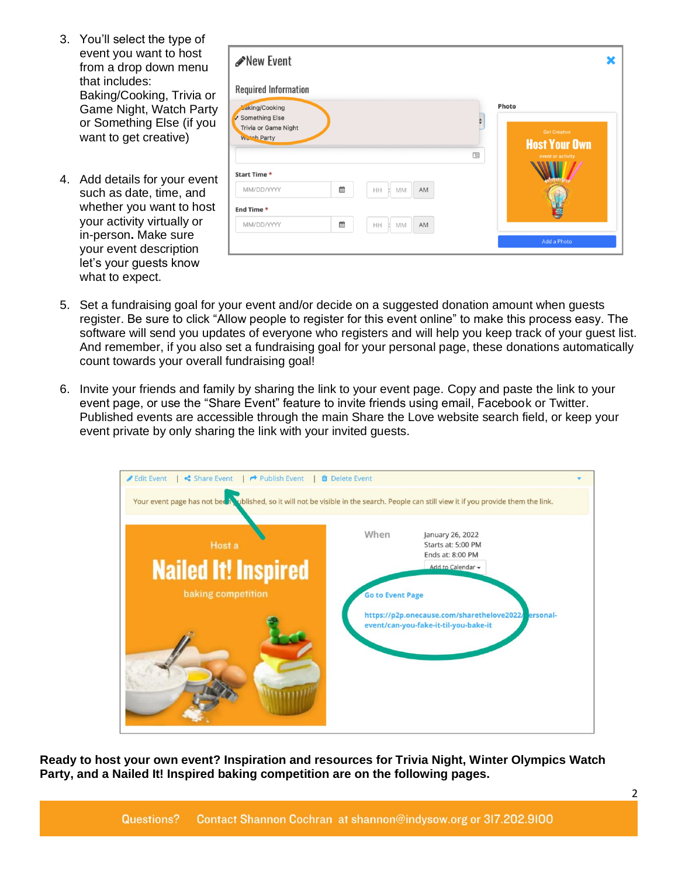- 3. You'll select the type of event you want to host from a drop down menu that includes: Baking/Cooking, Trivia or Game Night, Watch Party or Something Else (if you want to get creative)
- 4. Add details for your event such as date, time, and whether you want to host your activity virtually or in-person**.** Make sure your event description let's your guests know what to expect.

| <b>Required Information</b>              |   |                     |   |                                             |
|------------------------------------------|---|---------------------|---|---------------------------------------------|
| Jaking/Cooking                           |   |                     |   | Photo                                       |
| Something Else<br>Trivia or Game Night   |   |                     |   |                                             |
| Wurch Party                              |   |                     |   | <b>Get Creative</b><br><b>Host Your Own</b> |
|                                          |   |                     | œ | event or activity                           |
|                                          |   |                     |   |                                             |
|                                          |   |                     |   |                                             |
|                                          | 笽 | AM<br>HH<br>MM<br>ы |   |                                             |
| Start Time *<br>MM/DD/YYYY<br>End Time * |   |                     |   |                                             |

- 5. Set a fundraising goal for your event and/or decide on a suggested donation amount when guests register. Be sure to click "Allow people to register for this event online" to make this process easy. The software will send you updates of everyone who registers and will help you keep track of your guest list. And remember, if you also set a fundraising goal for your personal page, these donations automatically count towards your overall fundraising goal!
- 6. Invite your friends and family by sharing the link to your event page. Copy and paste the link to your event page, or use the "Share Event" feature to invite friends using email, Facebook or Twitter. Published events are accessible through the main Share the Love website search field, or keep your event private by only sharing the link with your invited guests.



**Ready to host your own event? Inspiration and resources for Trivia Night, Winter Olympics Watch Party, and a Nailed It! Inspired baking competition are on the following pages.**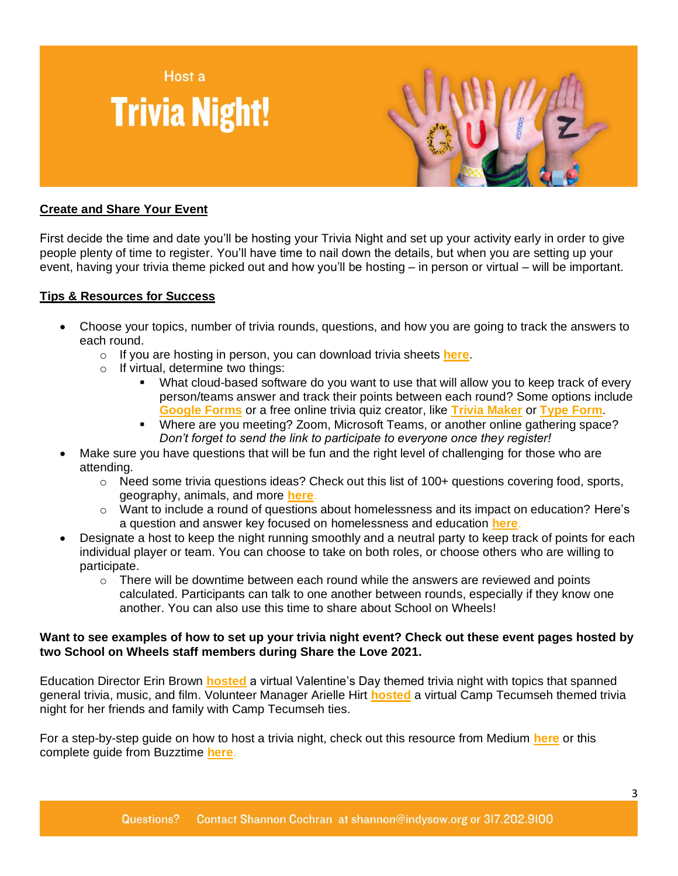



## **Create and Share Your Event**

First decide the time and date you'll be hosting your Trivia Night and set up your activity early in order to give people plenty of time to register. You'll have time to nail down the details, but when you are setting up your event, having your trivia theme picked out and how you'll be hosting – in person or virtual – will be important.

## **Tips & Resources for Success**

- Choose your topics, number of trivia rounds, questions, and how you are going to track the answers to each round.
	- o If you are hosting in person, you can download trivia sheets **[here](https://indyschoolonwheels.org/wp-content/uploads/2022/01/Trivia-Sheet.png)**.
	- o If virtual, determine two things:
		- What cloud-based software do you want to use that will allow you to keep track of every person/teams answer and track their points between each round? Some options include **[Google Forms](https://www.google.com/forms/about/)** or a free online trivia quiz creator, like **[Trivia Maker](https://triviamaker.com/)** or **[Type Form](https://www.typeform.com/)**.
		- Where are you meeting? Zoom, Microsoft Teams, or another online gathering space? *Don't forget to send the link to participate to everyone once they register!*
- Make sure you have questions that will be fun and the right level of challenging for those who are attending.
	- $\circ$  Need some trivia questions ideas? Check out this list of 100+ questions covering food, sports, geography, animals, and more **[here](https://www.quizbreaker.com/trivia-questions)**.
	- o Want to include a round of questions about homelessness and its impact on education? Here's a question and answer key focused on homelessness and education **[here](https://indyschoolonwheels.org/wp-content/uploads/2022/01/School-on-Wheels-Trivia-Answer-Sheet-1.pdf)**.
- Designate a host to keep the night running smoothly and a neutral party to keep track of points for each individual player or team. You can choose to take on both roles, or choose others who are willing to participate.
	- $\circ$  There will be downtime between each round while the answers are reviewed and points calculated. Participants can talk to one another between rounds, especially if they know one another. You can also use this time to share about School on Wheels!

#### **Want to see examples of how to set up your trivia night event? Check out these event pages hosted by two School on Wheels staff members during Share the Love 2021.**

Education Director Erin Brown **[hosted](https://p2p.onecause.com/sharethelove2021/personal-event/share-the-love-lovey-dovey-trivia?fbclid=IwAR00tVlsW6M6gbVfKzk5xmn4lCjj6FXZVBradMR4Z1BzAeoCfxzUB-wFrMo)** a virtual Valentine's Day themed trivia night with topics that spanned general trivia, music, and film. Volunteer Manager Arielle Hirt **[hosted](https://p2p.onecause.com/sharethelove2021/personal-event/camp-tecumseh-trivia-night)** a virtual Camp Tecumseh themed trivia night for her friends and family with Camp Tecumseh ties.

For a step-by-step guide on how to host a trivia night, check out this resource from Medium **[here](https://medium.com/@lindygullett/how-to-host-a-virtual-trivia-night-f614e4adee9a)** or this complete guide from Buzztime **[here](https://www.buzztime.com/business/blog/the-complete-guide-to-hosting-a-trivia-night/)**.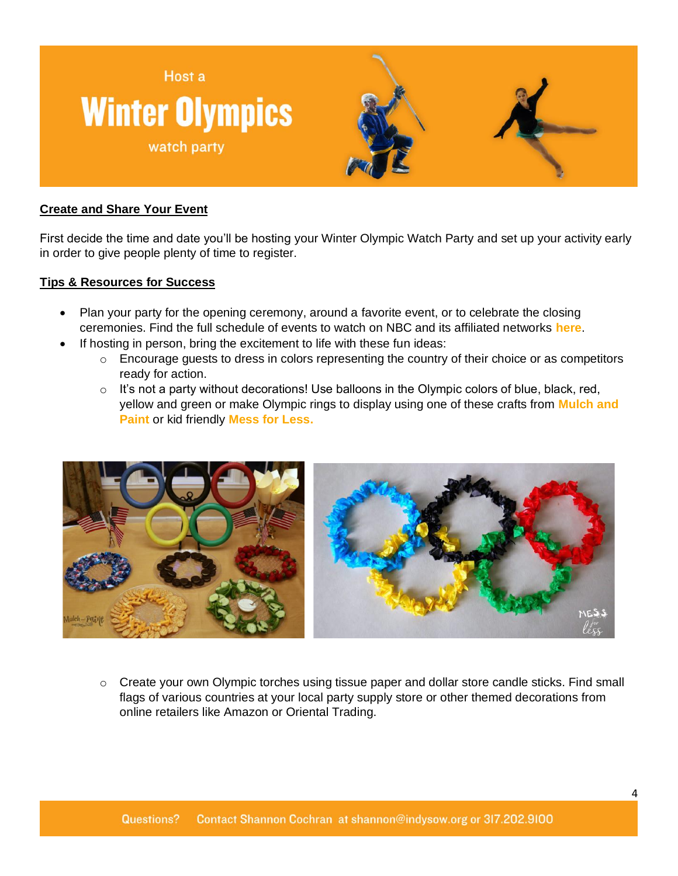

# **Create and Share Your Event**

First decide the time and date you'll be hosting your Winter Olympic Watch Party and set up your activity early in order to give people plenty of time to register.

## **Tips & Resources for Success**

- Plan your party for the opening ceremony, around a favorite event, or to celebrate the closing ceremonies. Find the full schedule of events to watch on NBC and its affiliated networks **[here](https://www.nbcolympics.com/schedule)**.
- If hosting in person, bring the excitement to life with these fun ideas:
	- o Encourage guests to dress in colors representing the country of their choice or as competitors ready for action.
	- $\circ$  It's not a party without decorations! Use balloons in the Olympic colors of blue, black, red, yellow and green or make Olympic rings to display using one of these crafts from **[Mulch and](https://mulchandpaint.com/2018/02/12/olympic-party-ideas/)  [Paint](https://mulchandpaint.com/2018/02/12/olympic-party-ideas/)** or kid friendly **[Mess for Less.](https://www.messforless.net/kids-olympic-games-craft/#_a5y_p=5478409)**



 $\circ$  Create your own Olympic torches using tissue paper and dollar store candle sticks. Find small flags of various countries at your local party supply store or other themed decorations from online retailers like Amazon or Oriental Trading.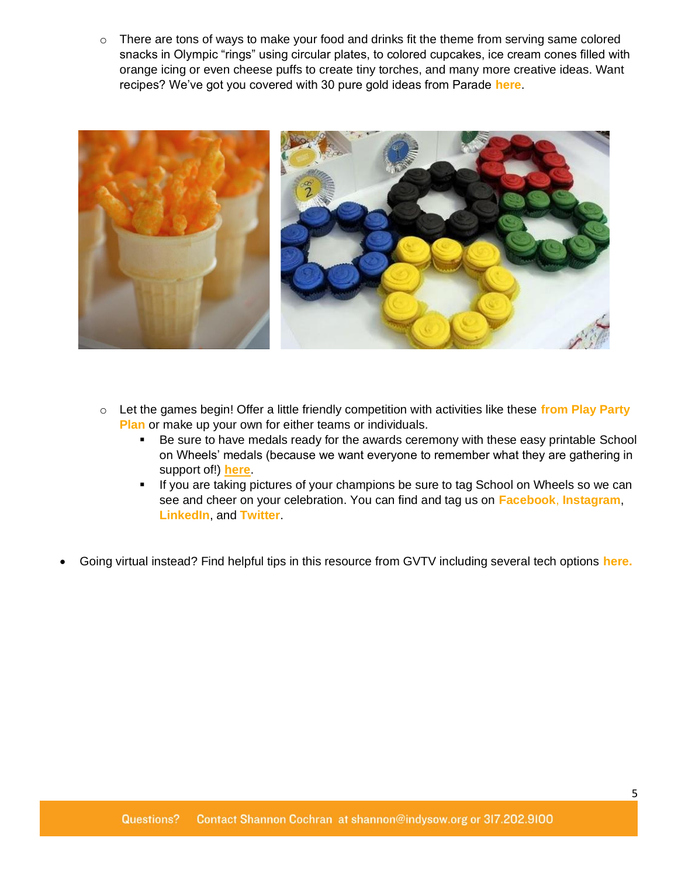o There are tons of ways to make your food and drinks fit the theme from serving same colored snacks in Olympic "rings" using circular plates, to colored cupcakes, ice cream cones filled with orange icing or even cheese puffs to create tiny torches, and many more creative ideas. Want recipes? We've got you covered with 30 pure gold ideas from Parade **[here](https://parade.com/1236762/felicialim/best-recipes-for-the-olympics/)**.



- o Let the games begin! Offer a little friendly competition with activities like these **from [Play Party](https://www.playpartyplan.com/winter-olympic-themed-party-games/)  [Plan](https://www.playpartyplan.com/winter-olympic-themed-party-games/)** or make up your own for either teams or individuals.
	- Be sure to have medals ready for the awards ceremony with these easy printable School on Wheels' medals (because we want everyone to remember what they are gathering in support of!) **[here](https://indyschoolonwheels.org/wp-content/uploads/2022/01/Medals.pdf)**.
	- **■** If you are taking pictures of your champions be sure to tag School on Wheels so we can see and cheer on your celebration. You can find and tag us on **[Facebook](https://www.facebook.com/schoolonwheelsindy)**, **[Instagram](https://www.instagram.com/indysow/)**, **[LinkedIn](https://www.linkedin.com/company/schoolonwheels/)**, and **[Twitter](https://twitter.com/IndySOW)**.
- Going virtual instead? Find helpful tips in this resource from GVTV including several tech options **[here.](https://blog.gvtc.com/how-to-host-an-olympics-virtual-watch-party)**